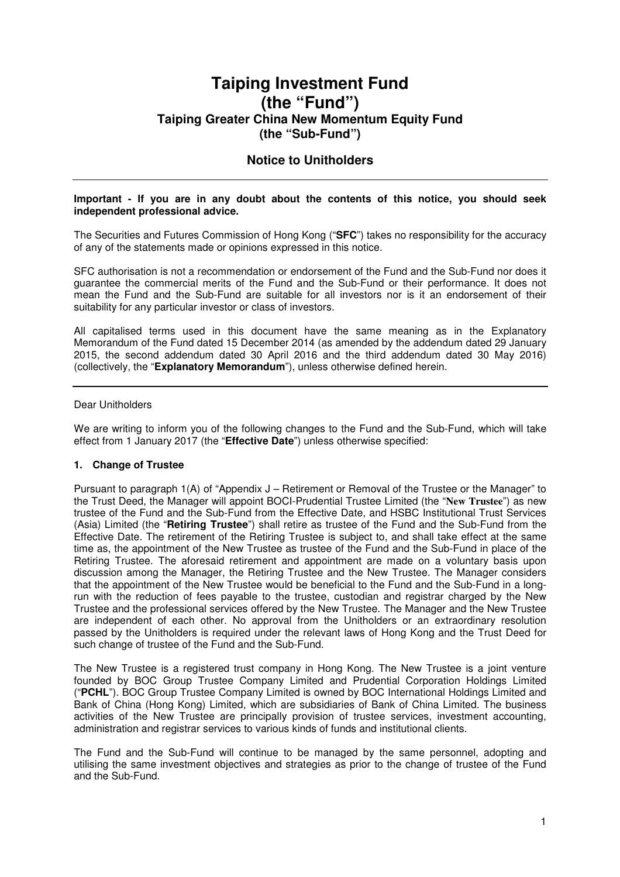# **Taiping Investment Fund (the "Fund") Taiping Greater China New Momentum Equity Fund (the "Sub-Fund")**

# **Notice to Unitholders**

#### **Important - If you are in any doubt about the contents of this notice, you should seek independent professional advice.**

The Securities and Futures Commission of Hong Kong ("**SFC**") takes no responsibility for the accuracy of any of the statements made or opinions expressed in this notice.

SFC authorisation is not a recommendation or endorsement of the Fund and the Sub-Fund nor does it guarantee the commercial merits of the Fund and the Sub-Fund or their performance. It does not mean the Fund and the Sub-Fund are suitable for all investors nor is it an endorsement of their suitability for any particular investor or class of investors.

All capitalised terms used in this document have the same meaning as in the Explanatory Memorandum of the Fund dated 15 December 2014 (as amended by the addendum dated 29 January 2015, the second addendum dated 30 April 2016 and the third addendum dated 30 May 2016) (collectively, the "**Explanatory Memorandum**"), unless otherwise defined herein.

#### Dear Unitholders

We are writing to inform you of the following changes to the Fund and the Sub-Fund, which will take effect from 1 January 2017 (the "**Effective Date**") unless otherwise specified:

# **1. Change of Trustee**

Pursuant to paragraph 1(A) of "Appendix J – Retirement or Removal of the Trustee or the Manager" to the Trust Deed, the Manager will appoint BOCI-Prudential Trustee Limited (the "**New Trustee**") as new trustee of the Fund and the Sub-Fund from the Effective Date, and HSBC Institutional Trust Services (Asia) Limited (the "**Retiring Trustee**") shall retire as trustee of the Fund and the Sub-Fund from the Effective Date. The retirement of the Retiring Trustee is subject to, and shall take effect at the same time as, the appointment of the New Trustee as trustee of the Fund and the Sub-Fund in place of the Retiring Trustee. The aforesaid retirement and appointment are made on a voluntary basis upon discussion among the Manager, the Retiring Trustee and the New Trustee. The Manager considers that the appointment of the New Trustee would be beneficial to the Fund and the Sub-Fund in a longrun with the reduction of fees payable to the trustee, custodian and registrar charged by the New Trustee and the professional services offered by the New Trustee. The Manager and the New Trustee are independent of each other. No approval from the Unitholders or an extraordinary resolution passed by the Unitholders is required under the relevant laws of Hong Kong and the Trust Deed for such change of trustee of the Fund and the Sub-Fund.

The New Trustee is a registered trust company in Hong Kong. The New Trustee is a joint venture founded by BOC Group Trustee Company Limited and Prudential Corporation Holdings Limited ("**PCHL**"). BOC Group Trustee Company Limited is owned by BOC International Holdings Limited and Bank of China (Hong Kong) Limited, which are subsidiaries of Bank of China Limited. The business activities of the New Trustee are principally provision of trustee services, investment accounting, administration and registrar services to various kinds of funds and institutional clients.

The Fund and the Sub-Fund will continue to be managed by the same personnel, adopting and utilising the same investment objectives and strategies as prior to the change of trustee of the Fund and the Sub-Fund.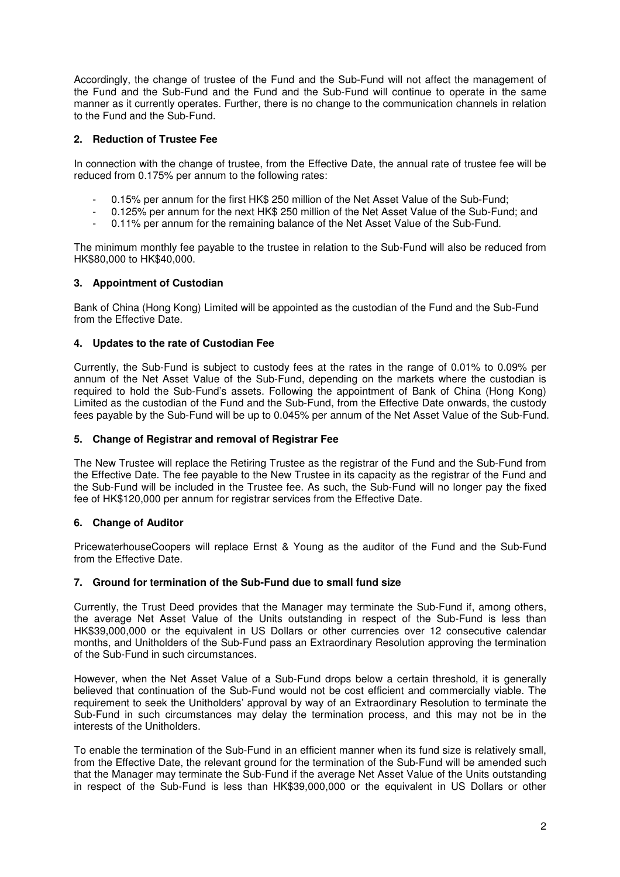Accordingly, the change of trustee of the Fund and the Sub-Fund will not affect the management of the Fund and the Sub-Fund and the Fund and the Sub-Fund will continue to operate in the same manner as it currently operates. Further, there is no change to the communication channels in relation to the Fund and the Sub-Fund.

# **2. Reduction of Trustee Fee**

In connection with the change of trustee, from the Effective Date, the annual rate of trustee fee will be reduced from 0.175% per annum to the following rates:

- 0.15% per annum for the first HK\$ 250 million of the Net Asset Value of the Sub-Fund;
- 0.125% per annum for the next HK\$ 250 million of the Net Asset Value of the Sub-Fund; and
- 0.11% per annum for the remaining balance of the Net Asset Value of the Sub-Fund.

The minimum monthly fee payable to the trustee in relation to the Sub-Fund will also be reduced from HK\$80,000 to HK\$40,000.

# **3. Appointment of Custodian**

Bank of China (Hong Kong) Limited will be appointed as the custodian of the Fund and the Sub-Fund from the Effective Date.

# **4. Updates to the rate of Custodian Fee**

Currently, the Sub-Fund is subject to custody fees at the rates in the range of 0.01% to 0.09% per annum of the Net Asset Value of the Sub-Fund, depending on the markets where the custodian is required to hold the Sub-Fund's assets. Following the appointment of Bank of China (Hong Kong) Limited as the custodian of the Fund and the Sub-Fund, from the Effective Date onwards, the custody fees payable by the Sub-Fund will be up to 0.045% per annum of the Net Asset Value of the Sub-Fund.

# **5. Change of Registrar and removal of Registrar Fee**

The New Trustee will replace the Retiring Trustee as the registrar of the Fund and the Sub-Fund from the Effective Date. The fee payable to the New Trustee in its capacity as the registrar of the Fund and the Sub-Fund will be included in the Trustee fee. As such, the Sub-Fund will no longer pay the fixed fee of HK\$120,000 per annum for registrar services from the Effective Date.

# **6. Change of Auditor**

PricewaterhouseCoopers will replace Ernst & Young as the auditor of the Fund and the Sub-Fund from the Effective Date.

# **7. Ground for termination of the Sub-Fund due to small fund size**

Currently, the Trust Deed provides that the Manager may terminate the Sub-Fund if, among others, the average Net Asset Value of the Units outstanding in respect of the Sub-Fund is less than HK\$39,000,000 or the equivalent in US Dollars or other currencies over 12 consecutive calendar months, and Unitholders of the Sub-Fund pass an Extraordinary Resolution approving the termination of the Sub-Fund in such circumstances.

However, when the Net Asset Value of a Sub-Fund drops below a certain threshold, it is generally believed that continuation of the Sub-Fund would not be cost efficient and commercially viable. The requirement to seek the Unitholders' approval by way of an Extraordinary Resolution to terminate the Sub-Fund in such circumstances may delay the termination process, and this may not be in the interests of the Unitholders.

To enable the termination of the Sub-Fund in an efficient manner when its fund size is relatively small, from the Effective Date, the relevant ground for the termination of the Sub-Fund will be amended such that the Manager may terminate the Sub-Fund if the average Net Asset Value of the Units outstanding in respect of the Sub-Fund is less than HK\$39,000,000 or the equivalent in US Dollars or other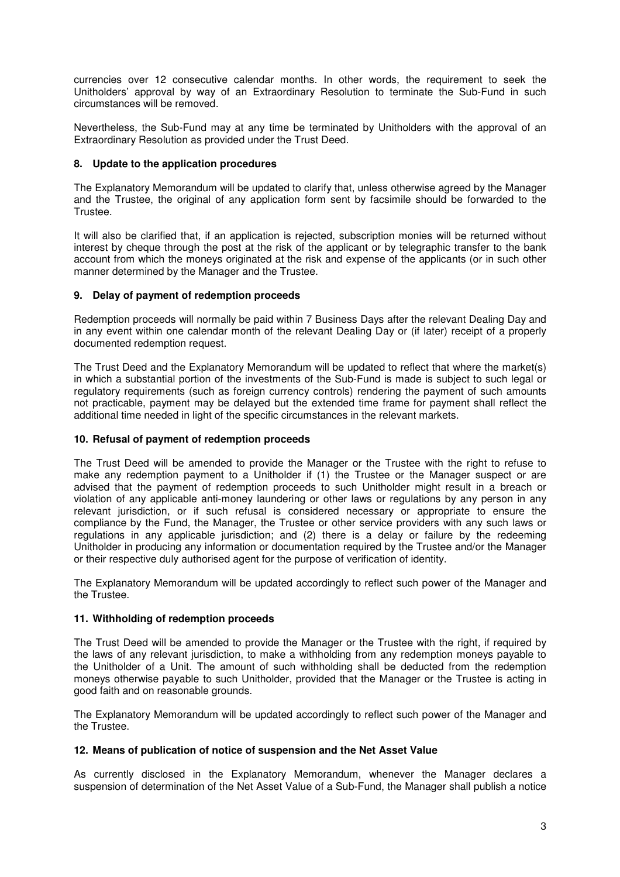currencies over 12 consecutive calendar months. In other words, the requirement to seek the Unitholders' approval by way of an Extraordinary Resolution to terminate the Sub-Fund in such circumstances will be removed.

Nevertheless, the Sub-Fund may at any time be terminated by Unitholders with the approval of an Extraordinary Resolution as provided under the Trust Deed.

### **8. Update to the application procedures**

The Explanatory Memorandum will be updated to clarify that, unless otherwise agreed by the Manager and the Trustee, the original of any application form sent by facsimile should be forwarded to the Trustee.

It will also be clarified that, if an application is rejected, subscription monies will be returned without interest by cheque through the post at the risk of the applicant or by telegraphic transfer to the bank account from which the moneys originated at the risk and expense of the applicants (or in such other manner determined by the Manager and the Trustee.

# **9. Delay of payment of redemption proceeds**

Redemption proceeds will normally be paid within 7 Business Days after the relevant Dealing Day and in any event within one calendar month of the relevant Dealing Day or (if later) receipt of a properly documented redemption request.

The Trust Deed and the Explanatory Memorandum will be updated to reflect that where the market(s) in which a substantial portion of the investments of the Sub-Fund is made is subject to such legal or regulatory requirements (such as foreign currency controls) rendering the payment of such amounts not practicable, payment may be delayed but the extended time frame for payment shall reflect the additional time needed in light of the specific circumstances in the relevant markets.

#### **10. Refusal of payment of redemption proceeds**

The Trust Deed will be amended to provide the Manager or the Trustee with the right to refuse to make any redemption payment to a Unitholder if (1) the Trustee or the Manager suspect or are advised that the payment of redemption proceeds to such Unitholder might result in a breach or violation of any applicable anti-money laundering or other laws or regulations by any person in any relevant jurisdiction, or if such refusal is considered necessary or appropriate to ensure the compliance by the Fund, the Manager, the Trustee or other service providers with any such laws or regulations in any applicable jurisdiction; and (2) there is a delay or failure by the redeeming Unitholder in producing any information or documentation required by the Trustee and/or the Manager or their respective duly authorised agent for the purpose of verification of identity.

The Explanatory Memorandum will be updated accordingly to reflect such power of the Manager and the Trustee.

# **11. Withholding of redemption proceeds**

The Trust Deed will be amended to provide the Manager or the Trustee with the right, if required by the laws of any relevant jurisdiction, to make a withholding from any redemption moneys payable to the Unitholder of a Unit. The amount of such withholding shall be deducted from the redemption moneys otherwise payable to such Unitholder, provided that the Manager or the Trustee is acting in good faith and on reasonable grounds.

The Explanatory Memorandum will be updated accordingly to reflect such power of the Manager and the Trustee.

#### **12. Means of publication of notice of suspension and the Net Asset Value**

As currently disclosed in the Explanatory Memorandum, whenever the Manager declares a suspension of determination of the Net Asset Value of a Sub-Fund, the Manager shall publish a notice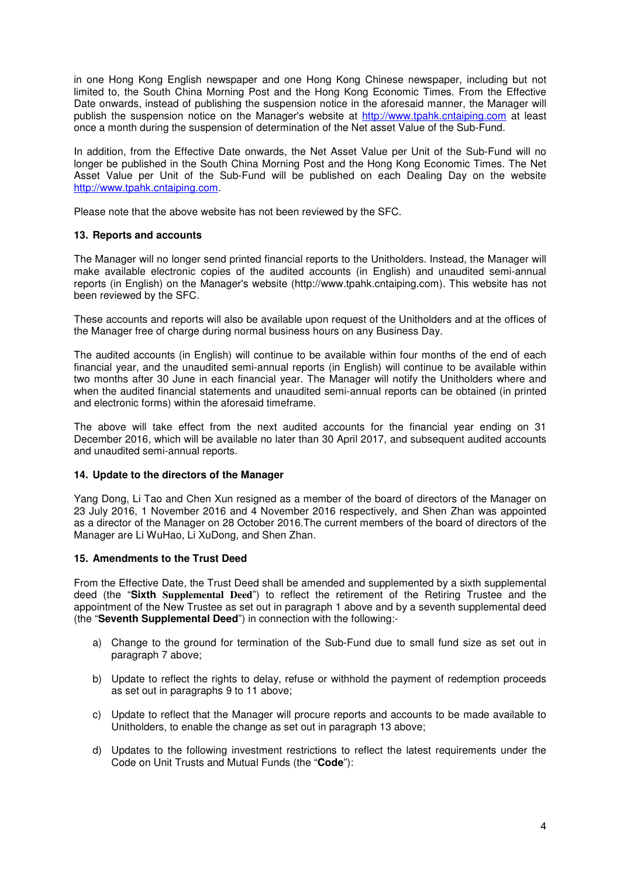in one Hong Kong English newspaper and one Hong Kong Chinese newspaper, including but not limited to, the South China Morning Post and the Hong Kong Economic Times. From the Effective Date onwards, instead of publishing the suspension notice in the aforesaid manner, the Manager will publish the suspension notice on the Manager's website at http://www.tpahk.cntaiping.com at least once a month during the suspension of determination of the Net asset Value of the Sub-Fund.

In addition, from the Effective Date onwards, the Net Asset Value per Unit of the Sub-Fund will no longer be published in the South China Morning Post and the Hong Kong Economic Times. The Net Asset Value per Unit of the Sub-Fund will be published on each Dealing Day on the website http://www.tpahk.cntaiping.com.

Please note that the above website has not been reviewed by the SFC.

#### **13. Reports and accounts**

The Manager will no longer send printed financial reports to the Unitholders. Instead, the Manager will make available electronic copies of the audited accounts (in English) and unaudited semi-annual reports (in English) on the Manager's website (http://www.tpahk.cntaiping.com). This website has not been reviewed by the SFC.

These accounts and reports will also be available upon request of the Unitholders and at the offices of the Manager free of charge during normal business hours on any Business Day.

The audited accounts (in English) will continue to be available within four months of the end of each financial year, and the unaudited semi-annual reports (in English) will continue to be available within two months after 30 June in each financial year. The Manager will notify the Unitholders where and when the audited financial statements and unaudited semi-annual reports can be obtained (in printed and electronic forms) within the aforesaid timeframe.

The above will take effect from the next audited accounts for the financial year ending on 31 December 2016, which will be available no later than 30 April 2017, and subsequent audited accounts and unaudited semi-annual reports.

#### **14. Update to the directors of the Manager**

Yang Dong, Li Tao and Chen Xun resigned as a member of the board of directors of the Manager on 23 July 2016, 1 November 2016 and 4 November 2016 respectively, and Shen Zhan was appointed as a director of the Manager on 28 October 2016.The current members of the board of directors of the Manager are Li WuHao, Li XuDong, and Shen Zhan.

#### **15. Amendments to the Trust Deed**

From the Effective Date, the Trust Deed shall be amended and supplemented by a sixth supplemental deed (the "**Sixth Supplemental Deed**") to reflect the retirement of the Retiring Trustee and the appointment of the New Trustee as set out in paragraph 1 above and by a seventh supplemental deed (the "**Seventh Supplemental Deed**") in connection with the following:-

- a) Change to the ground for termination of the Sub-Fund due to small fund size as set out in paragraph 7 above;
- b) Update to reflect the rights to delay, refuse or withhold the payment of redemption proceeds as set out in paragraphs 9 to 11 above;
- c) Update to reflect that the Manager will procure reports and accounts to be made available to Unitholders, to enable the change as set out in paragraph 13 above;
- d) Updates to the following investment restrictions to reflect the latest requirements under the Code on Unit Trusts and Mutual Funds (the "**Code**"):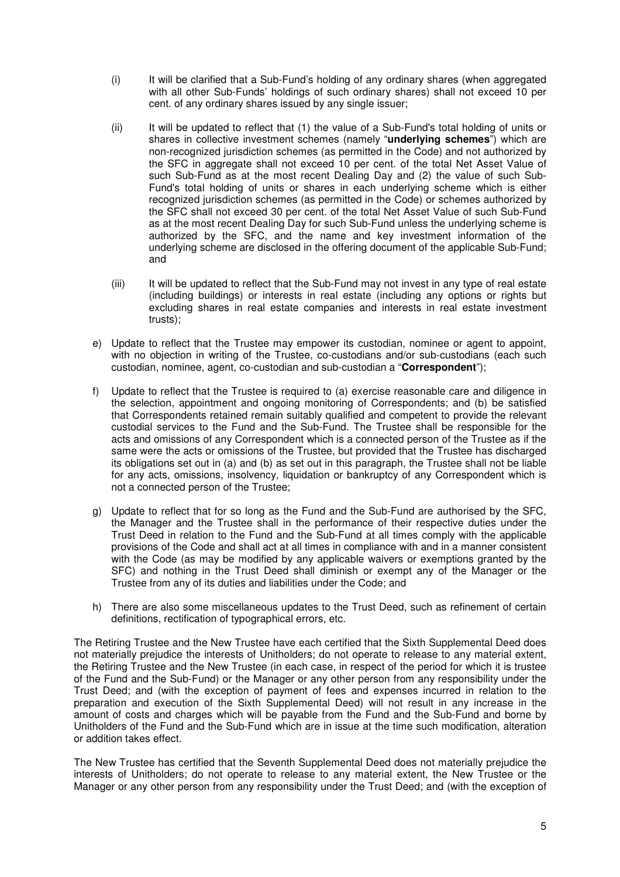- (i) It will be clarified that a Sub-Fund's holding of any ordinary shares (when aggregated with all other Sub-Funds' holdings of such ordinary shares) shall not exceed 10 per cent. of any ordinary shares issued by any single issuer;
- (ii) It will be updated to reflect that (1) the value of a Sub-Fund's total holding of units or shares in collective investment schemes (namely "**underlying schemes**") which are non-recognized jurisdiction schemes (as permitted in the Code) and not authorized by the SFC in aggregate shall not exceed 10 per cent. of the total Net Asset Value of such Sub-Fund as at the most recent Dealing Day and (2) the value of such Sub-Fund's total holding of units or shares in each underlying scheme which is either recognized jurisdiction schemes (as permitted in the Code) or schemes authorized by the SFC shall not exceed 30 per cent. of the total Net Asset Value of such Sub-Fund as at the most recent Dealing Day for such Sub-Fund unless the underlying scheme is authorized by the SFC, and the name and key investment information of the underlying scheme are disclosed in the offering document of the applicable Sub-Fund; and
- (iii) It will be updated to reflect that the Sub-Fund may not invest in any type of real estate (including buildings) or interests in real estate (including any options or rights but excluding shares in real estate companies and interests in real estate investment trusts);
- e) Update to reflect that the Trustee may empower its custodian, nominee or agent to appoint, with no objection in writing of the Trustee, co-custodians and/or sub-custodians (each such custodian, nominee, agent, co-custodian and sub-custodian a "**Correspondent**");
- f) Update to reflect that the Trustee is required to (a) exercise reasonable care and diligence in the selection, appointment and ongoing monitoring of Correspondents; and (b) be satisfied that Correspondents retained remain suitably qualified and competent to provide the relevant custodial services to the Fund and the Sub-Fund. The Trustee shall be responsible for the acts and omissions of any Correspondent which is a connected person of the Trustee as if the same were the acts or omissions of the Trustee, but provided that the Trustee has discharged its obligations set out in (a) and (b) as set out in this paragraph, the Trustee shall not be liable for any acts, omissions, insolvency, liquidation or bankruptcy of any Correspondent which is not a connected person of the Trustee;
- g) Update to reflect that for so long as the Fund and the Sub-Fund are authorised by the SFC, the Manager and the Trustee shall in the performance of their respective duties under the Trust Deed in relation to the Fund and the Sub-Fund at all times comply with the applicable provisions of the Code and shall act at all times in compliance with and in a manner consistent with the Code (as may be modified by any applicable waivers or exemptions granted by the SFC) and nothing in the Trust Deed shall diminish or exempt any of the Manager or the Trustee from any of its duties and liabilities under the Code; and
- h) There are also some miscellaneous updates to the Trust Deed, such as refinement of certain definitions, rectification of typographical errors, etc.

The Retiring Trustee and the New Trustee have each certified that the Sixth Supplemental Deed does not materially prejudice the interests of Unitholders; do not operate to release to any material extent, the Retiring Trustee and the New Trustee (in each case, in respect of the period for which it is trustee of the Fund and the Sub-Fund) or the Manager or any other person from any responsibility under the Trust Deed; and (with the exception of payment of fees and expenses incurred in relation to the preparation and execution of the Sixth Supplemental Deed) will not result in any increase in the amount of costs and charges which will be payable from the Fund and the Sub-Fund and borne by Unitholders of the Fund and the Sub-Fund which are in issue at the time such modification, alteration or addition takes effect.

The New Trustee has certified that the Seventh Supplemental Deed does not materially prejudice the interests of Unitholders; do not operate to release to any material extent, the New Trustee or the Manager or any other person from any responsibility under the Trust Deed; and (with the exception of